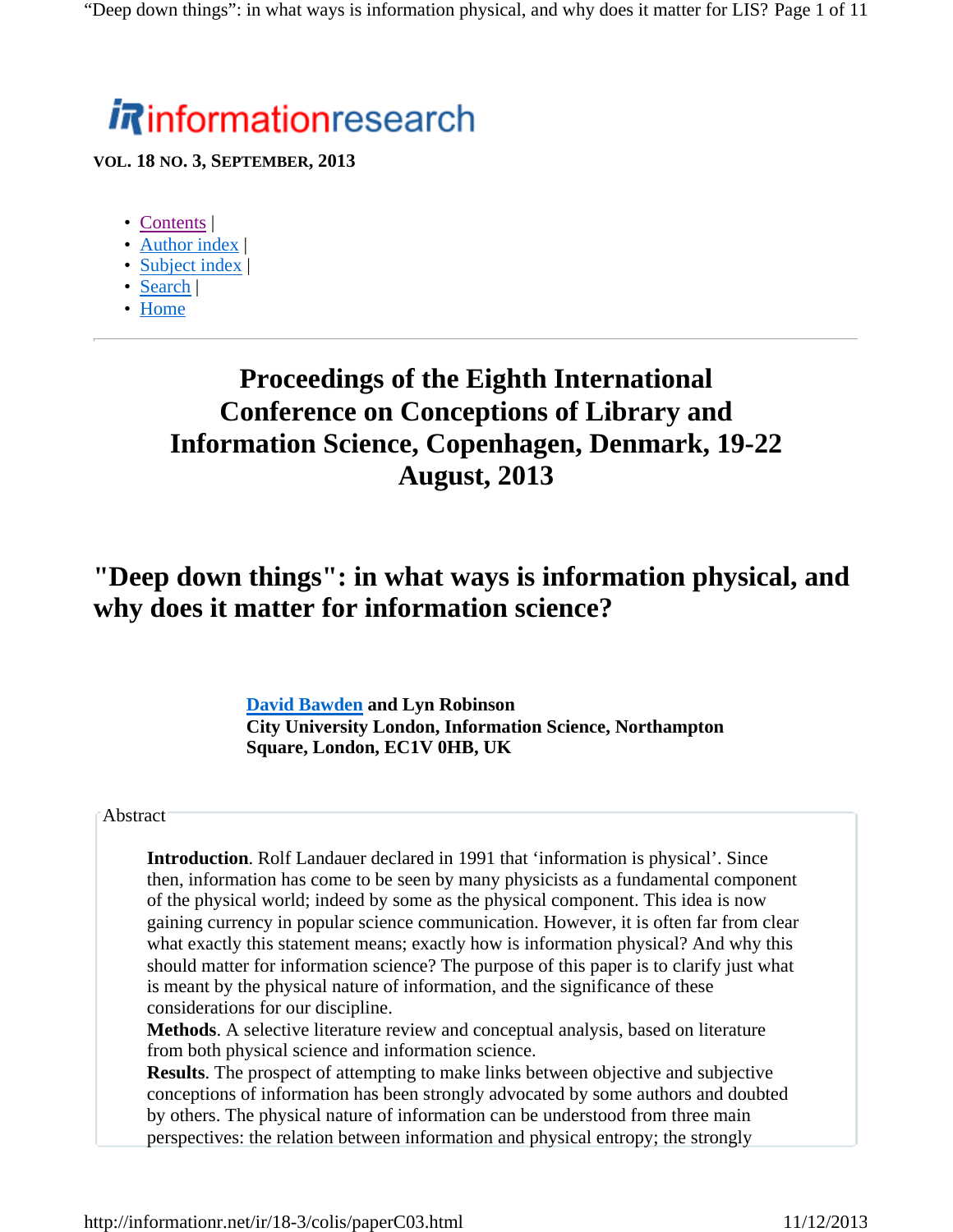# **informationresearch**

**VOL. 18 NO. 3, SEPTEMBER, 2013**

- Contents |
- Author index |
- Subject index |
- Search |
- Home

# **Proceedings of the Eighth International Conference on Conceptions of Library and Information Science, Copenhagen, Denmark, 19-22 August, 2013**

# **"Deep down things": in what ways is information physical, and why does it matter for information science?**

**David Bawden and Lyn Robinson City University London, Information Science, Northampton Square, London, EC1V 0HB, UK**

#### **Abstract**

**Introduction**. Rolf Landauer declared in 1991 that 'information is physical'. Since then, information has come to be seen by many physicists as a fundamental component of the physical world; indeed by some as the physical component. This idea is now gaining currency in popular science communication. However, it is often far from clear what exactly this statement means; exactly how is information physical? And why this should matter for information science? The purpose of this paper is to clarify just what is meant by the physical nature of information, and the significance of these considerations for our discipline.

**Methods**. A selective literature review and conceptual analysis, based on literature from both physical science and information science.

**Results**. The prospect of attempting to make links between objective and subjective conceptions of information has been strongly advocated by some authors and doubted by others. The physical nature of information can be understood from three main perspectives: the relation between information and physical entropy; the strongly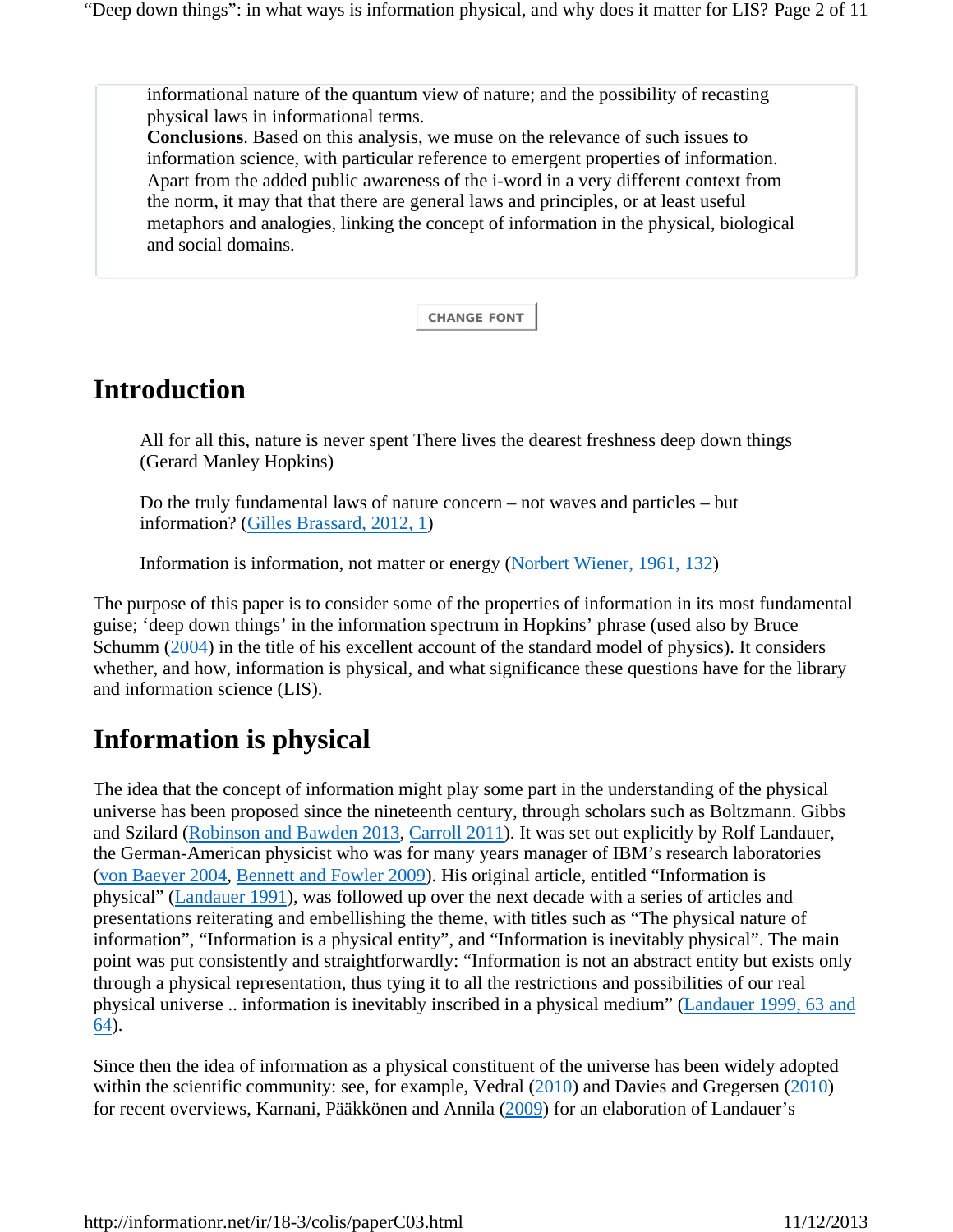informational nature of the quantum view of nature; and the possibility of recasting physical laws in informational terms.

**Conclusions**. Based on this analysis, we muse on the relevance of such issues to information science, with particular reference to emergent properties of information. Apart from the added public awareness of the i-word in a very different context from the norm, it may that that there are general laws and principles, or at least useful metaphors and analogies, linking the concept of information in the physical, biological and social domains.

**CHANGE FONT**

### **Introduction**

All for all this, nature is never spent There lives the dearest freshness deep down things (Gerard Manley Hopkins)

Do the truly fundamental laws of nature concern – not waves and particles – but information? (Gilles Brassard, 2012, 1)

Information is information, not matter or energy (Norbert Wiener, 1961, 132)

The purpose of this paper is to consider some of the properties of information in its most fundamental guise; 'deep down things' in the information spectrum in Hopkins' phrase (used also by Bruce Schumm (2004) in the title of his excellent account of the standard model of physics). It considers whether, and how, information is physical, and what significance these questions have for the library and information science (LIS).

# **Information is physical**

The idea that the concept of information might play some part in the understanding of the physical universe has been proposed since the nineteenth century, through scholars such as Boltzmann. Gibbs and Szilard (Robinson and Bawden 2013, Carroll 2011). It was set out explicitly by Rolf Landauer, the German-American physicist who was for many years manager of IBM's research laboratories (von Baeyer 2004, Bennett and Fowler 2009). His original article, entitled "Information is physical" (Landauer 1991), was followed up over the next decade with a series of articles and presentations reiterating and embellishing the theme, with titles such as "The physical nature of information", "Information is a physical entity", and "Information is inevitably physical". The main point was put consistently and straightforwardly: "Information is not an abstract entity but exists only through a physical representation, thus tying it to all the restrictions and possibilities of our real physical universe .. information is inevitably inscribed in a physical medium" (Landauer 1999, 63 and 64).

Since then the idea of information as a physical constituent of the universe has been widely adopted within the scientific community: see, for example, Vedral (2010) and Davies and Gregersen (2010) for recent overviews, Karnani, Pääkkönen and Annila (2009) for an elaboration of Landauer's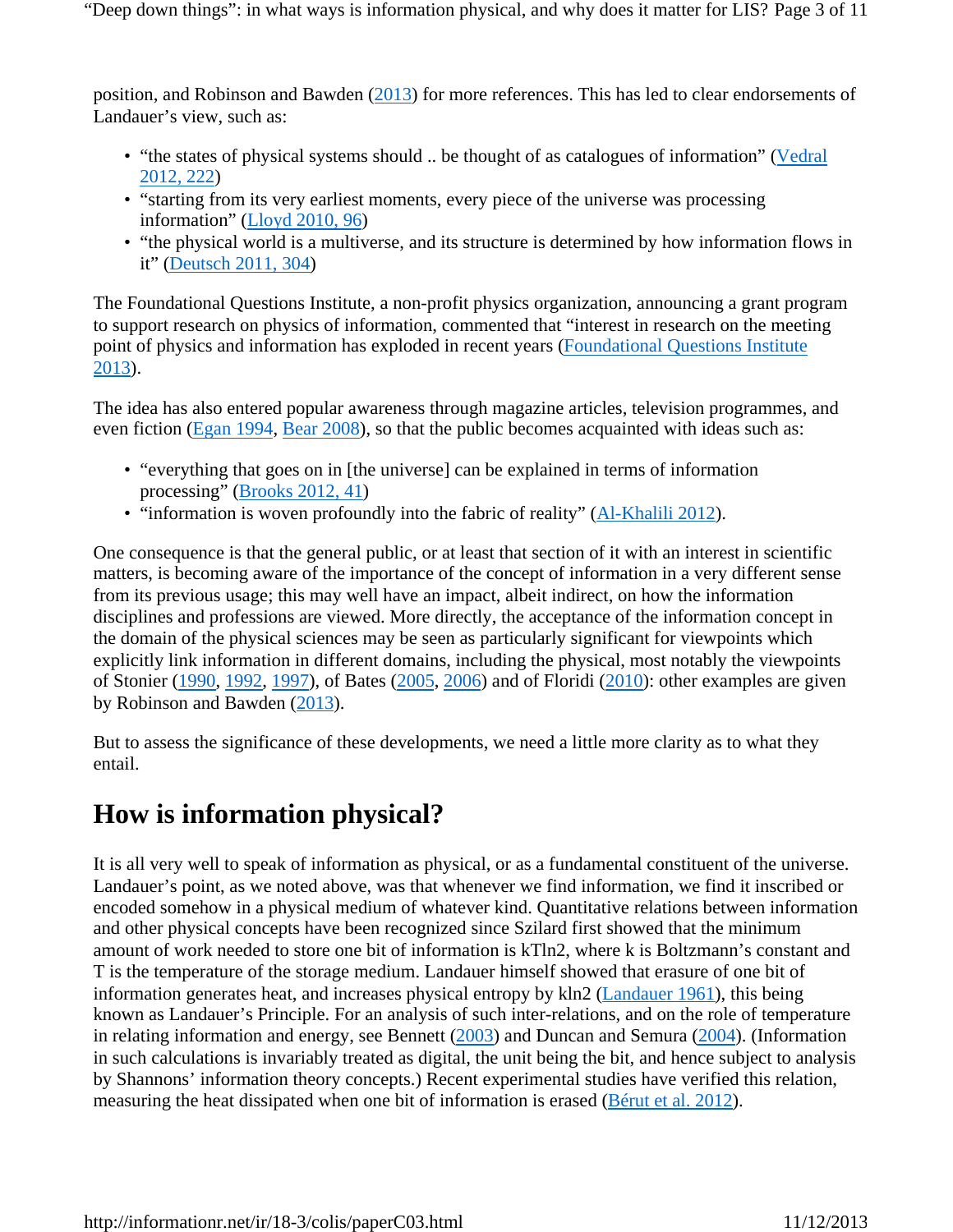"Deep down things": in what ways is information physical, and why does it matter for LIS? Page 3 of 11

position, and Robinson and Bawden (2013) for more references. This has led to clear endorsements of Landauer's view, such as:

- "the states of physical systems should .. be thought of as catalogues of information" (Vedral 2012, 222)
- "starting from its very earliest moments, every piece of the universe was processing information" (Lloyd 2010, 96)
- "the physical world is a multiverse, and its structure is determined by how information flows in it" (Deutsch 2011, 304)

The Foundational Questions Institute, a non-profit physics organization, announcing a grant program to support research on physics of information, commented that "interest in research on the meeting point of physics and information has exploded in recent years (Foundational Questions Institute 2013).

The idea has also entered popular awareness through magazine articles, television programmes, and even fiction (Egan 1994, Bear 2008), so that the public becomes acquainted with ideas such as:

- "everything that goes on in [the universe] can be explained in terms of information processing" (Brooks 2012, 41)
- "information is woven profoundly into the fabric of reality" (Al-Khalili 2012).

One consequence is that the general public, or at least that section of it with an interest in scientific matters, is becoming aware of the importance of the concept of information in a very different sense from its previous usage; this may well have an impact, albeit indirect, on how the information disciplines and professions are viewed. More directly, the acceptance of the information concept in the domain of the physical sciences may be seen as particularly significant for viewpoints which explicitly link information in different domains, including the physical, most notably the viewpoints of Stonier (1990, 1992, 1997), of Bates (2005, 2006) and of Floridi (2010): other examples are given by Robinson and Bawden (2013).

But to assess the significance of these developments, we need a little more clarity as to what they entail.

# **How is information physical?**

It is all very well to speak of information as physical, or as a fundamental constituent of the universe. Landauer's point, as we noted above, was that whenever we find information, we find it inscribed or encoded somehow in a physical medium of whatever kind. Quantitative relations between information and other physical concepts have been recognized since Szilard first showed that the minimum amount of work needed to store one bit of information is kTln2, where k is Boltzmann's constant and T is the temperature of the storage medium. Landauer himself showed that erasure of one bit of information generates heat, and increases physical entropy by kln2 (Landauer 1961), this being known as Landauer's Principle. For an analysis of such inter-relations, and on the role of temperature in relating information and energy, see Bennett (2003) and Duncan and Semura (2004). (Information in such calculations is invariably treated as digital, the unit being the bit, and hence subject to analysis by Shannons' information theory concepts.) Recent experimental studies have verified this relation, measuring the heat dissipated when one bit of information is erased (Bérut et al. 2012).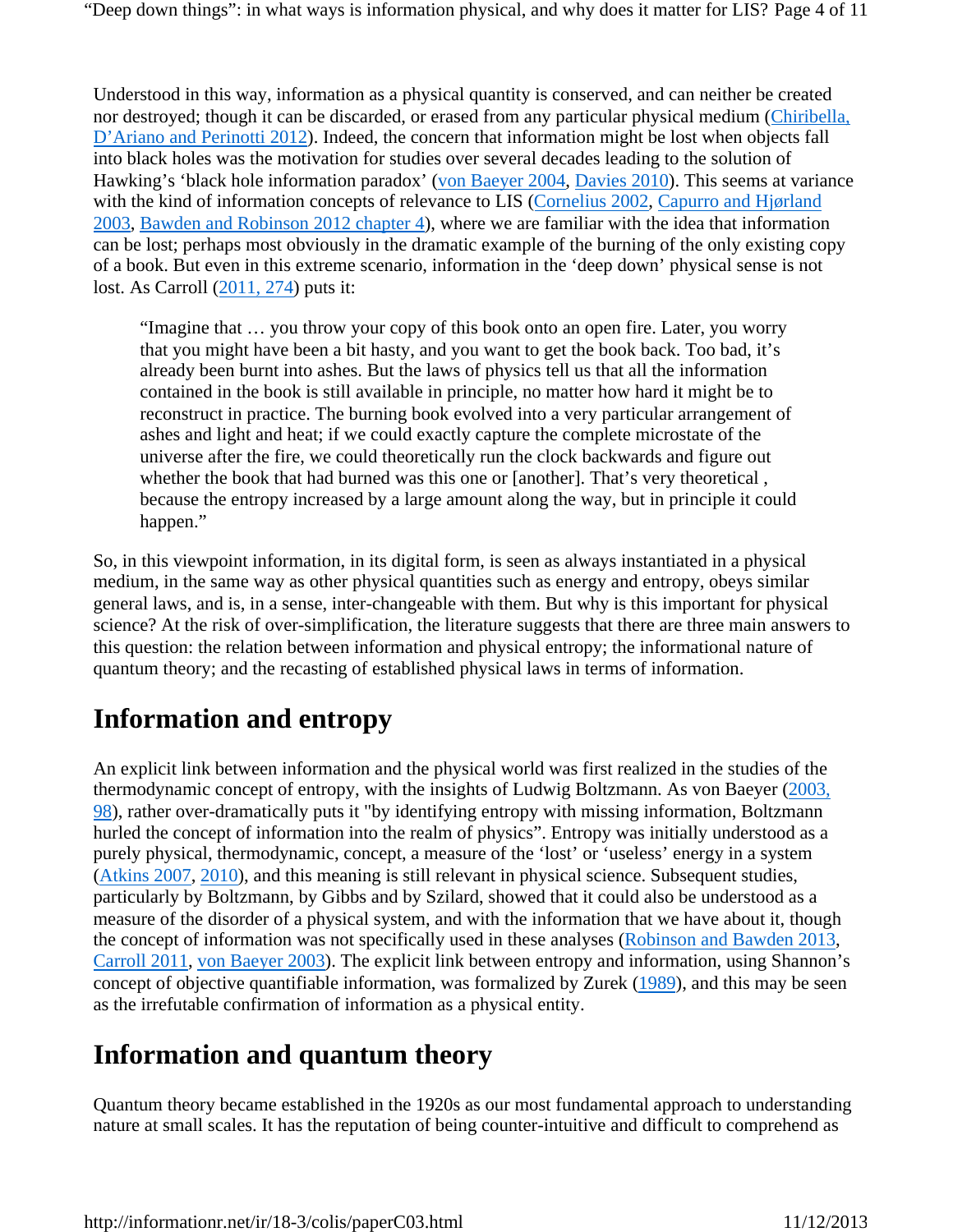"Deep down things": in what ways is information physical, and why does it matter for LIS? Page 4 of 11

Understood in this way, information as a physical quantity is conserved, and can neither be created nor destroyed; though it can be discarded, or erased from any particular physical medium (Chiribella, D'Ariano and Perinotti 2012). Indeed, the concern that information might be lost when objects fall into black holes was the motivation for studies over several decades leading to the solution of Hawking's 'black hole information paradox' (von Baeyer 2004, Davies 2010). This seems at variance with the kind of information concepts of relevance to LIS (Cornelius 2002, Capurro and Hjørland 2003, Bawden and Robinson 2012 chapter 4), where we are familiar with the idea that information can be lost; perhaps most obviously in the dramatic example of the burning of the only existing copy of a book. But even in this extreme scenario, information in the 'deep down' physical sense is not lost. As Carroll (2011, 274) puts it:

"Imagine that … you throw your copy of this book onto an open fire. Later, you worry that you might have been a bit hasty, and you want to get the book back. Too bad, it's already been burnt into ashes. But the laws of physics tell us that all the information contained in the book is still available in principle, no matter how hard it might be to reconstruct in practice. The burning book evolved into a very particular arrangement of ashes and light and heat; if we could exactly capture the complete microstate of the universe after the fire, we could theoretically run the clock backwards and figure out whether the book that had burned was this one or [another]. That's very theoretical , because the entropy increased by a large amount along the way, but in principle it could happen."

So, in this viewpoint information, in its digital form, is seen as always instantiated in a physical medium, in the same way as other physical quantities such as energy and entropy, obeys similar general laws, and is, in a sense, inter-changeable with them. But why is this important for physical science? At the risk of over-simplification, the literature suggests that there are three main answers to this question: the relation between information and physical entropy; the informational nature of quantum theory; and the recasting of established physical laws in terms of information.

# **Information and entropy**

An explicit link between information and the physical world was first realized in the studies of the thermodynamic concept of entropy, with the insights of Ludwig Boltzmann. As von Baeyer (2003, 98), rather over-dramatically puts it "by identifying entropy with missing information, Boltzmann hurled the concept of information into the realm of physics". Entropy was initially understood as a purely physical, thermodynamic, concept, a measure of the 'lost' or 'useless' energy in a system (Atkins 2007, 2010), and this meaning is still relevant in physical science. Subsequent studies, particularly by Boltzmann, by Gibbs and by Szilard, showed that it could also be understood as a measure of the disorder of a physical system, and with the information that we have about it, though the concept of information was not specifically used in these analyses (Robinson and Bawden 2013, Carroll 2011, von Baeyer 2003). The explicit link between entropy and information, using Shannon's concept of objective quantifiable information, was formalized by Zurek (1989), and this may be seen as the irrefutable confirmation of information as a physical entity.

# **Information and quantum theory**

Quantum theory became established in the 1920s as our most fundamental approach to understanding nature at small scales. It has the reputation of being counter-intuitive and difficult to comprehend as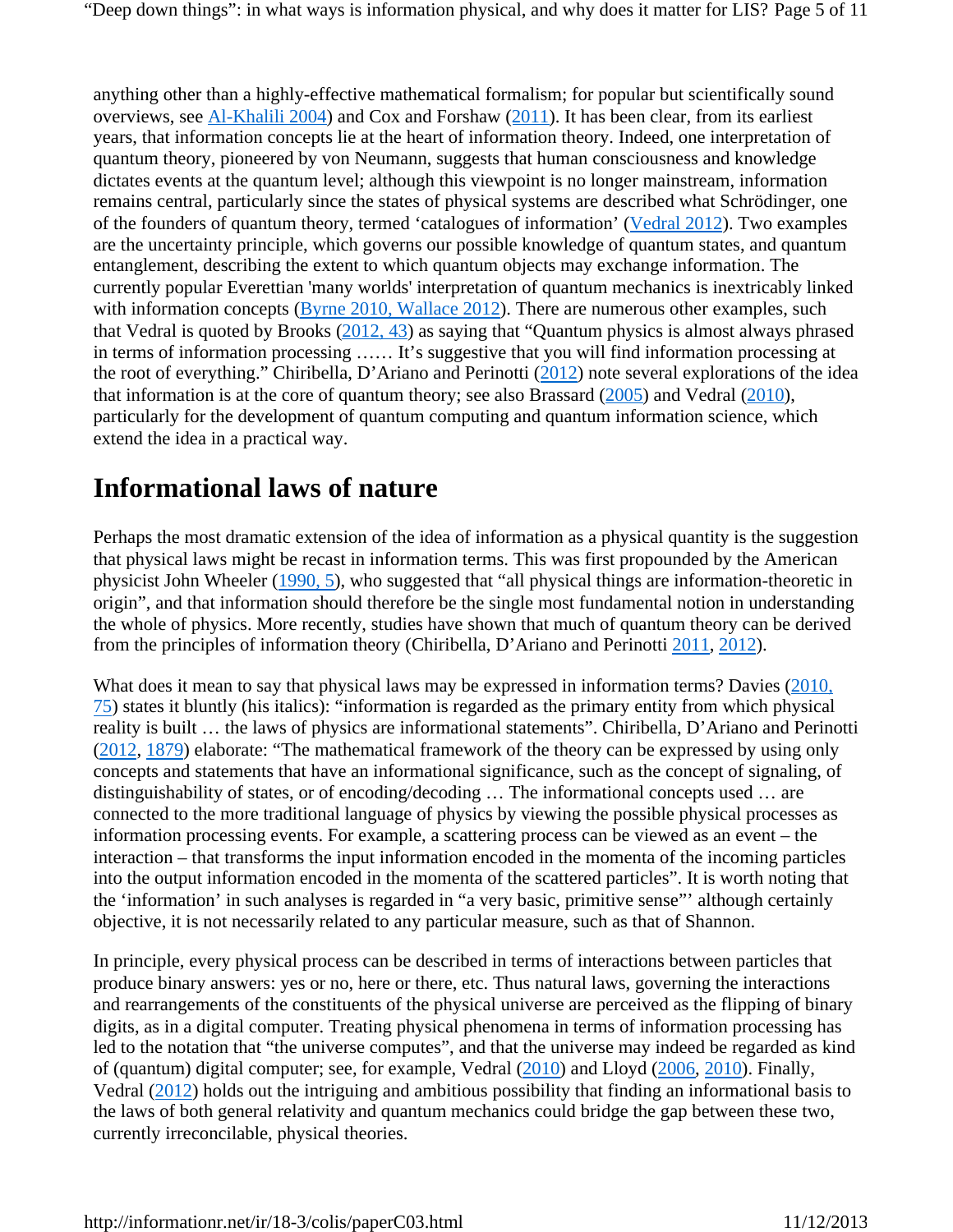anything other than a highly-effective mathematical formalism; for popular but scientifically sound overviews, see Al-Khalili 2004) and Cox and Forshaw (2011). It has been clear, from its earliest years, that information concepts lie at the heart of information theory. Indeed, one interpretation of quantum theory, pioneered by von Neumann, suggests that human consciousness and knowledge dictates events at the quantum level; although this viewpoint is no longer mainstream, information remains central, particularly since the states of physical systems are described what Schrödinger, one of the founders of quantum theory, termed 'catalogues of information' (Vedral 2012). Two examples are the uncertainty principle, which governs our possible knowledge of quantum states, and quantum entanglement, describing the extent to which quantum objects may exchange information. The currently popular Everettian 'many worlds' interpretation of quantum mechanics is inextricably linked with information concepts (Byrne 2010, Wallace 2012). There are numerous other examples, such that Vedral is quoted by Brooks (2012, 43) as saying that "Quantum physics is almost always phrased in terms of information processing …… It's suggestive that you will find information processing at the root of everything." Chiribella, D'Ariano and Perinotti (2012) note several explorations of the idea that information is at the core of quantum theory; see also Brassard  $(2005)$  and Vedral  $(2010)$ , particularly for the development of quantum computing and quantum information science, which extend the idea in a practical way.

## **Informational laws of nature**

Perhaps the most dramatic extension of the idea of information as a physical quantity is the suggestion that physical laws might be recast in information terms. This was first propounded by the American physicist John Wheeler (1990, 5), who suggested that "all physical things are information-theoretic in origin", and that information should therefore be the single most fundamental notion in understanding the whole of physics. More recently, studies have shown that much of quantum theory can be derived from the principles of information theory (Chiribella, D'Ariano and Perinotti 2011, 2012).

What does it mean to say that physical laws may be expressed in information terms? Davies (2010, 75) states it bluntly (his italics): "information is regarded as the primary entity from which physical reality is built … the laws of physics are informational statements". Chiribella, D'Ariano and Perinotti (2012, 1879) elaborate: "The mathematical framework of the theory can be expressed by using only concepts and statements that have an informational significance, such as the concept of signaling, of distinguishability of states, or of encoding/decoding … The informational concepts used … are connected to the more traditional language of physics by viewing the possible physical processes as information processing events. For example, a scattering process can be viewed as an event – the interaction – that transforms the input information encoded in the momenta of the incoming particles into the output information encoded in the momenta of the scattered particles". It is worth noting that the 'information' in such analyses is regarded in "a very basic, primitive sense"' although certainly objective, it is not necessarily related to any particular measure, such as that of Shannon.

In principle, every physical process can be described in terms of interactions between particles that produce binary answers: yes or no, here or there, etc. Thus natural laws, governing the interactions and rearrangements of the constituents of the physical universe are perceived as the flipping of binary digits, as in a digital computer. Treating physical phenomena in terms of information processing has led to the notation that "the universe computes", and that the universe may indeed be regarded as kind of (quantum) digital computer; see, for example, Vedral (2010) and Lloyd (2006, 2010). Finally, Vedral (2012) holds out the intriguing and ambitious possibility that finding an informational basis to the laws of both general relativity and quantum mechanics could bridge the gap between these two, currently irreconcilable, physical theories.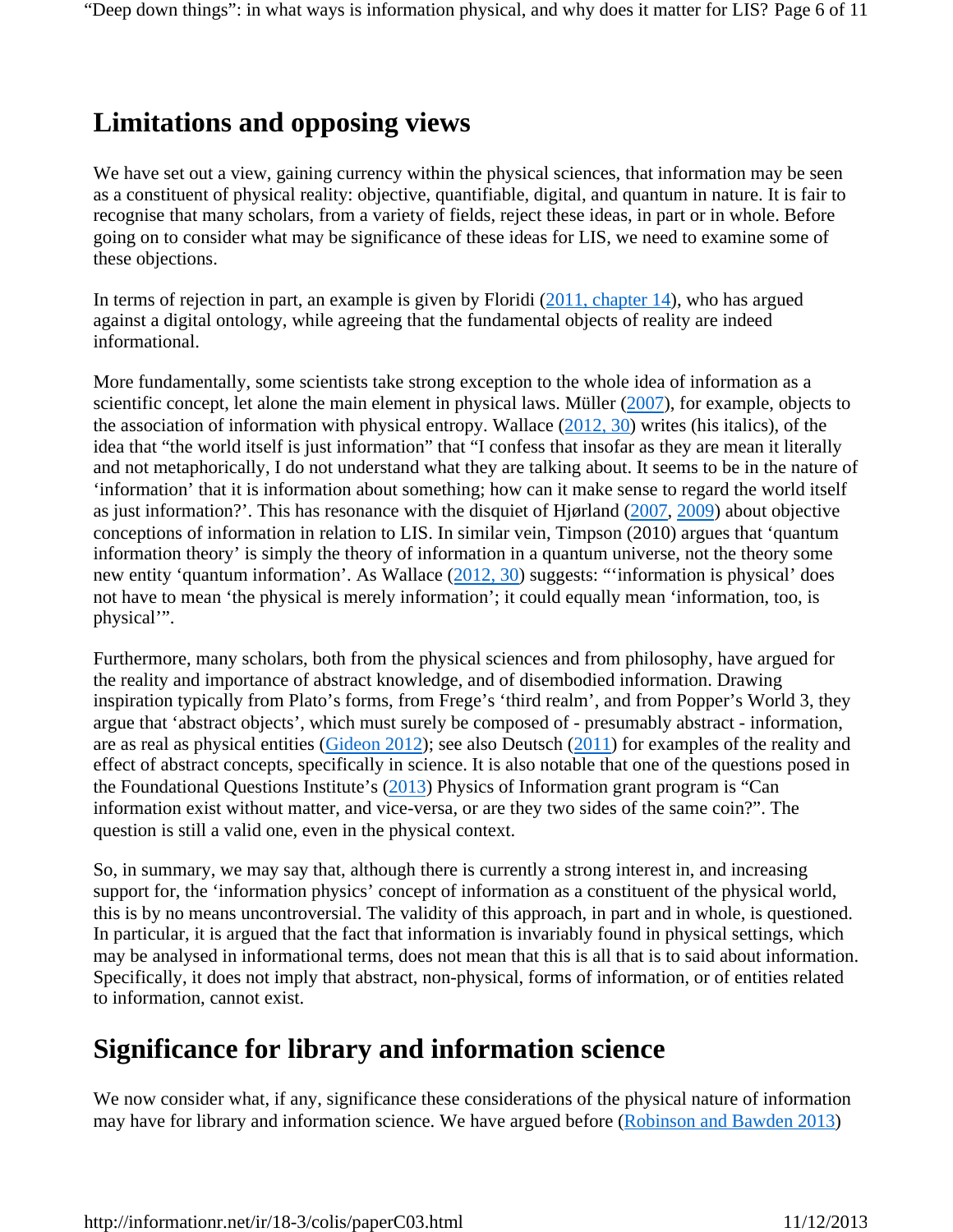# **Limitations and opposing views**

We have set out a view, gaining currency within the physical sciences, that information may be seen as a constituent of physical reality: objective, quantifiable, digital, and quantum in nature. It is fair to recognise that many scholars, from a variety of fields, reject these ideas, in part or in whole. Before going on to consider what may be significance of these ideas for LIS, we need to examine some of these objections.

In terms of rejection in part, an example is given by Floridi (2011, chapter 14), who has argued against a digital ontology, while agreeing that the fundamental objects of reality are indeed informational.

More fundamentally, some scientists take strong exception to the whole idea of information as a scientific concept, let alone the main element in physical laws. Müller  $(2007)$ , for example, objects to the association of information with physical entropy. Wallace  $(2012, 30)$  writes (his italics), of the idea that "the world itself is just information" that "I confess that insofar as they are mean it literally and not metaphorically, I do not understand what they are talking about. It seems to be in the nature of 'information' that it is information about something; how can it make sense to regard the world itself as just information?'. This has resonance with the disquiet of Hjørland (2007, 2009) about objective conceptions of information in relation to LIS. In similar vein, Timpson (2010) argues that 'quantum information theory' is simply the theory of information in a quantum universe, not the theory some new entity 'quantum information'. As Wallace (2012, 30) suggests: "'information is physical' does not have to mean 'the physical is merely information'; it could equally mean 'information, too, is physical'".

Furthermore, many scholars, both from the physical sciences and from philosophy, have argued for the reality and importance of abstract knowledge, and of disembodied information. Drawing inspiration typically from Plato's forms, from Frege's 'third realm', and from Popper's World 3, they argue that 'abstract objects', which must surely be composed of - presumably abstract - information, are as real as physical entities (Gideon 2012); see also Deutsch (2011) for examples of the reality and effect of abstract concepts, specifically in science. It is also notable that one of the questions posed in the Foundational Questions Institute's (2013) Physics of Information grant program is "Can information exist without matter, and vice-versa, or are they two sides of the same coin?". The question is still a valid one, even in the physical context.

So, in summary, we may say that, although there is currently a strong interest in, and increasing support for, the 'information physics' concept of information as a constituent of the physical world, this is by no means uncontroversial. The validity of this approach, in part and in whole, is questioned. In particular, it is argued that the fact that information is invariably found in physical settings, which may be analysed in informational terms, does not mean that this is all that is to said about information. Specifically, it does not imply that abstract, non-physical, forms of information, or of entities related to information, cannot exist.

# **Significance for library and information science**

We now consider what, if any, significance these considerations of the physical nature of information may have for library and information science. We have argued before (Robinson and Bawden 2013)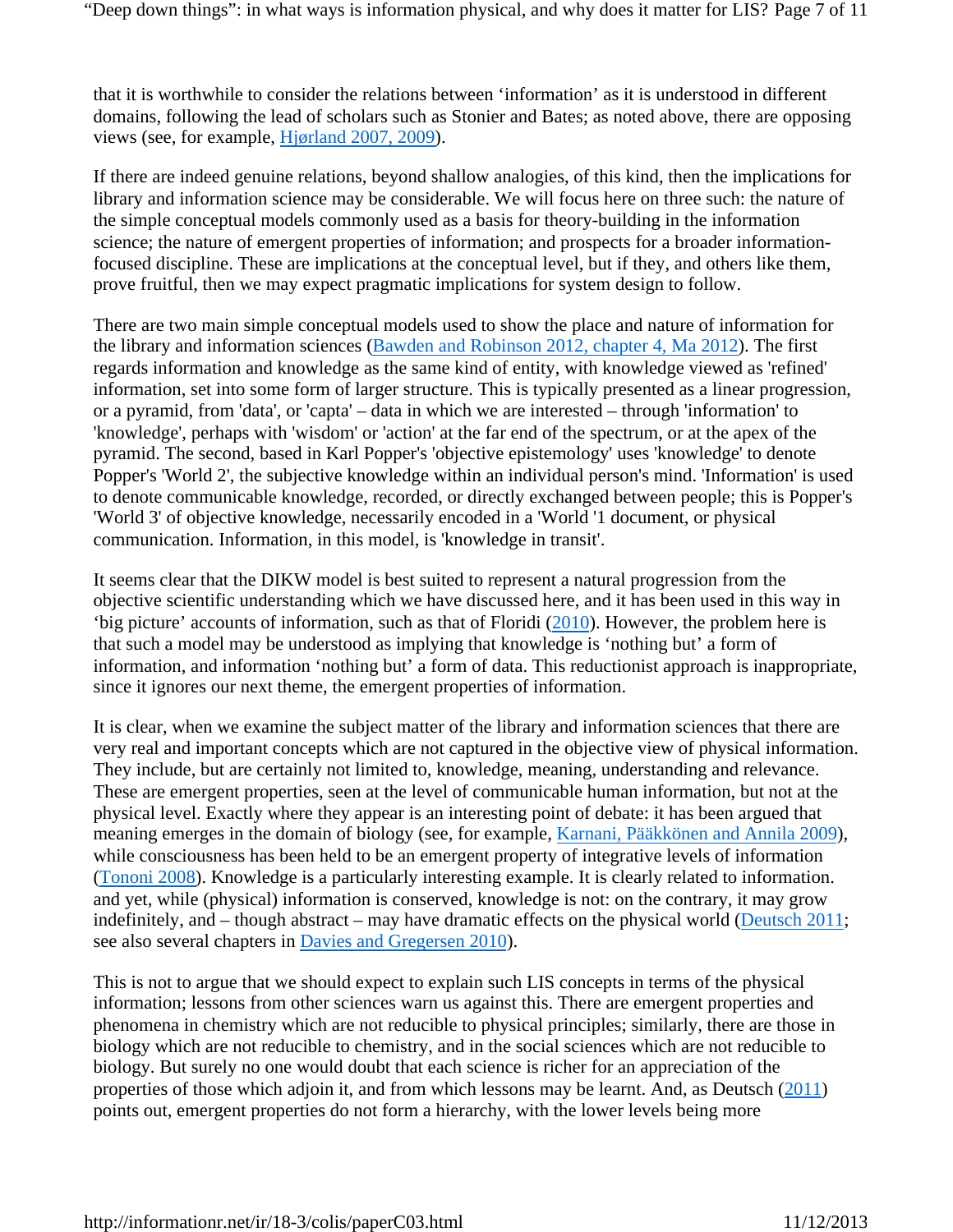that it is worthwhile to consider the relations between 'information' as it is understood in different domains, following the lead of scholars such as Stonier and Bates; as noted above, there are opposing views (see, for example, Hjørland 2007, 2009).

If there are indeed genuine relations, beyond shallow analogies, of this kind, then the implications for library and information science may be considerable. We will focus here on three such: the nature of the simple conceptual models commonly used as a basis for theory-building in the information science; the nature of emergent properties of information; and prospects for a broader informationfocused discipline. These are implications at the conceptual level, but if they, and others like them, prove fruitful, then we may expect pragmatic implications for system design to follow.

There are two main simple conceptual models used to show the place and nature of information for the library and information sciences (Bawden and Robinson 2012, chapter 4, Ma 2012). The first regards information and knowledge as the same kind of entity, with knowledge viewed as 'refined' information, set into some form of larger structure. This is typically presented as a linear progression, or a pyramid, from 'data', or 'capta' – data in which we are interested – through 'information' to 'knowledge', perhaps with 'wisdom' or 'action' at the far end of the spectrum, or at the apex of the pyramid. The second, based in Karl Popper's 'objective epistemology' uses 'knowledge' to denote Popper's 'World 2', the subjective knowledge within an individual person's mind. 'Information' is used to denote communicable knowledge, recorded, or directly exchanged between people; this is Popper's 'World 3' of objective knowledge, necessarily encoded in a 'World '1 document, or physical communication. Information, in this model, is 'knowledge in transit'.

It seems clear that the DIKW model is best suited to represent a natural progression from the objective scientific understanding which we have discussed here, and it has been used in this way in 'big picture' accounts of information, such as that of Floridi (2010). However, the problem here is that such a model may be understood as implying that knowledge is 'nothing but' a form of information, and information 'nothing but' a form of data. This reductionist approach is inappropriate, since it ignores our next theme, the emergent properties of information.

It is clear, when we examine the subject matter of the library and information sciences that there are very real and important concepts which are not captured in the objective view of physical information. They include, but are certainly not limited to, knowledge, meaning, understanding and relevance. These are emergent properties, seen at the level of communicable human information, but not at the physical level. Exactly where they appear is an interesting point of debate: it has been argued that meaning emerges in the domain of biology (see, for example, Karnani, Pääkkönen and Annila 2009), while consciousness has been held to be an emergent property of integrative levels of information (Tononi 2008). Knowledge is a particularly interesting example. It is clearly related to information. and yet, while (physical) information is conserved, knowledge is not: on the contrary, it may grow indefinitely, and – though abstract – may have dramatic effects on the physical world (Deutsch 2011; see also several chapters in Davies and Gregersen 2010).

This is not to argue that we should expect to explain such LIS concepts in terms of the physical information; lessons from other sciences warn us against this. There are emergent properties and phenomena in chemistry which are not reducible to physical principles; similarly, there are those in biology which are not reducible to chemistry, and in the social sciences which are not reducible to biology. But surely no one would doubt that each science is richer for an appreciation of the properties of those which adjoin it, and from which lessons may be learnt. And, as Deutsch (2011) points out, emergent properties do not form a hierarchy, with the lower levels being more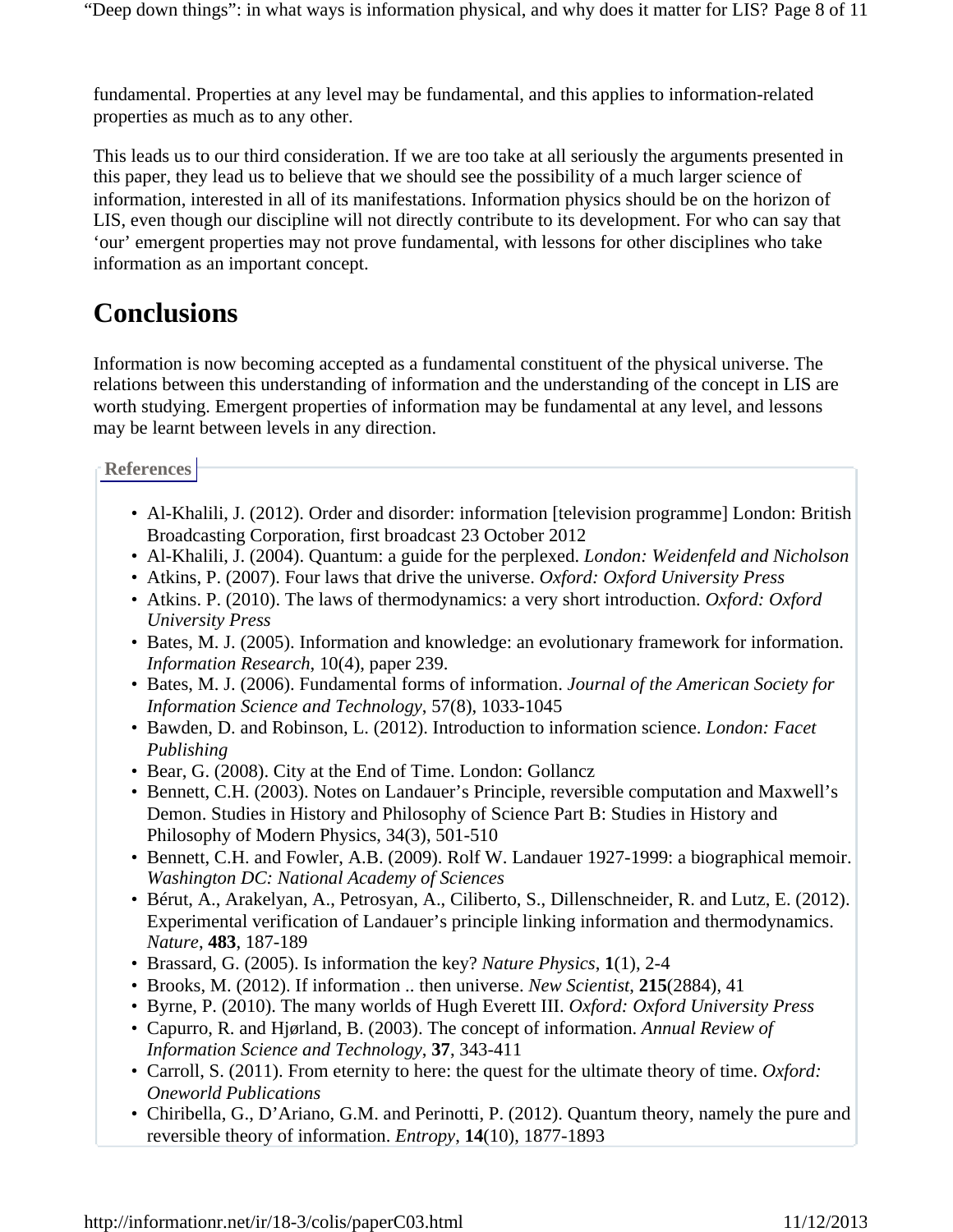fundamental. Properties at any level may be fundamental, and this applies to information-related properties as much as to any other.

This leads us to our third consideration. If we are too take at all seriously the arguments presented in this paper, they lead us to believe that we should see the possibility of a much larger science of information, interested in all of its manifestations. Information physics should be on the horizon of LIS, even though our discipline will not directly contribute to its development. For who can say that 'our' emergent properties may not prove fundamental, with lessons for other disciplines who take information as an important concept.

# **Conclusions**

Information is now becoming accepted as a fundamental constituent of the physical universe. The relations between this understanding of information and the understanding of the concept in LIS are worth studying. Emergent properties of information may be fundamental at any level, and lessons may be learnt between levels in any direction.

**References**

- Al-Khalili, J. (2012). Order and disorder: information [television programme] London: British Broadcasting Corporation, first broadcast 23 October 2012
- Al-Khalili, J. (2004). Quantum: a guide for the perplexed. *London: Weidenfeld and Nicholson*
- Atkins, P. (2007). Four laws that drive the universe. *Oxford: Oxford University Press*
- Atkins. P. (2010). The laws of thermodynamics: a very short introduction. *Oxford: Oxford University Press*
- Bates, M. J. (2005). Information and knowledge: an evolutionary framework for information. *Information Research*, 10(4), paper 239.
- Bates, M. J. (2006). Fundamental forms of information. *Journal of the American Society for Information Science and Technology*, 57(8), 1033-1045
- Bawden, D. and Robinson, L. (2012). Introduction to information science. *London: Facet Publishing*
- Bear, G. (2008). City at the End of Time. London: Gollancz
- Bennett, C.H. (2003). Notes on Landauer's Principle, reversible computation and Maxwell's Demon. Studies in History and Philosophy of Science Part B: Studies in History and Philosophy of Modern Physics, 34(3), 501-510
- Bennett, C.H. and Fowler, A.B. (2009). Rolf W. Landauer 1927-1999: a biographical memoir. *Washington DC: National Academy of Sciences*
- Bérut, A., Arakelyan, A., Petrosyan, A., Ciliberto, S., Dillenschneider, R. and Lutz, E. (2012). Experimental verification of Landauer's principle linking information and thermodynamics. *Nature*, **483**, 187-189
- Brassard, G. (2005). Is information the key? *Nature Physics*, **1**(1), 2-4
- Brooks, M. (2012). If information .. then universe. *New Scientist*, **215**(2884), 41
- Byrne, P. (2010). The many worlds of Hugh Everett III. *Oxford: Oxford University Press*
- Capurro, R. and Hjørland, B. (2003). The concept of information. *Annual Review of Information Science and Technology*, **37**, 343-411
- Carroll, S. (2011). From eternity to here: the quest for the ultimate theory of time. *Oxford: Oneworld Publications*
- Chiribella, G., D'Ariano, G.M. and Perinotti, P. (2012). Quantum theory, namely the pure and reversible theory of information. *Entropy*, **14**(10), 1877-1893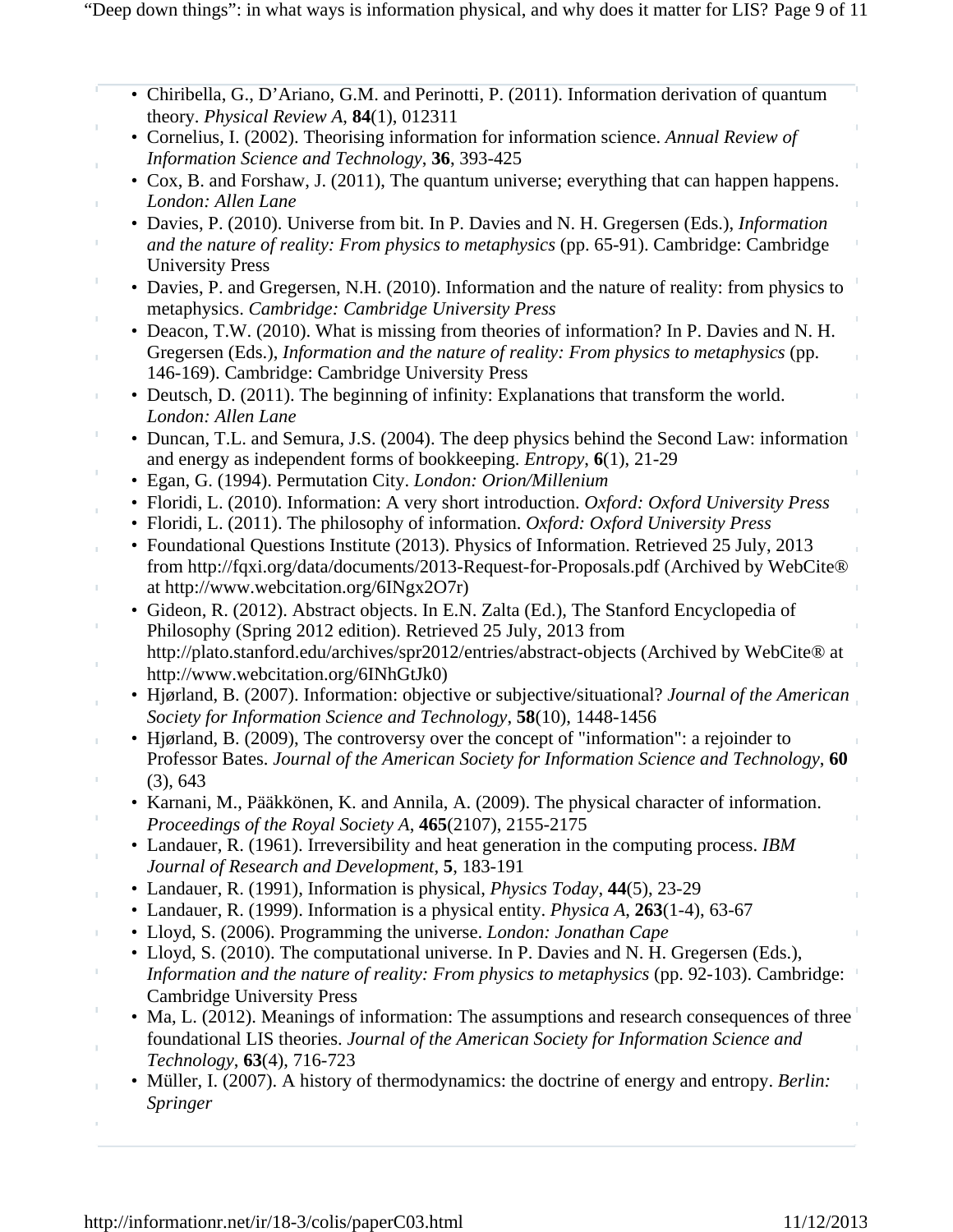- Chiribella, G., D'Ariano, G.M. and Perinotti, P. (2011). Information derivation of quantum theory. *Physical Review A*, **84**(1), 012311
- Cornelius, I. (2002). Theorising information for information science. *Annual Review of Information Science and Technology*, **36**, 393-425
- Cox, B. and Forshaw, J. (2011), The quantum universe; everything that can happen happens. *London: Allen Lane*
- Davies, P. (2010). Universe from bit. In P. Davies and N. H. Gregersen (Eds.), *Information and the nature of reality: From physics to metaphysics* (pp. 65-91). Cambridge: Cambridge University Press
- Davies, P. and Gregersen, N.H. (2010). Information and the nature of reality: from physics to metaphysics. *Cambridge: Cambridge University Press*
- Deacon, T.W. (2010). What is missing from theories of information? In P. Davies and N. H. Gregersen (Eds.), *Information and the nature of reality: From physics to metaphysics* (pp. 146-169). Cambridge: Cambridge University Press
- Deutsch, D. (2011). The beginning of infinity: Explanations that transform the world. *London: Allen Lane*
- Duncan, T.L. and Semura, J.S. (2004). The deep physics behind the Second Law: information and energy as independent forms of bookkeeping. *Entropy*, **6**(1), 21-29
- Egan, G. (1994). Permutation City. *London: Orion/Millenium*
- Floridi, L. (2010). Information: A very short introduction. *Oxford: Oxford University Press*
- Floridi, L. (2011). The philosophy of information. *Oxford: Oxford University Press*
- Foundational Questions Institute (2013). Physics of Information. Retrieved 25 July, 2013 from http://fqxi.org/data/documents/2013-Request-for-Proposals.pdf (Archived by WebCite® at http://www.webcitation.org/6INgx2O7r)
- Gideon, R. (2012). Abstract objects. In E.N. Zalta (Ed.), The Stanford Encyclopedia of Philosophy (Spring 2012 edition). Retrieved 25 July, 2013 from http://plato.stanford.edu/archives/spr2012/entries/abstract-objects (Archived by WebCite® at http://www.webcitation.org/6INhGtJk0)
- Hjørland, B. (2007). Information: objective or subjective/situational? *Journal of the American Society for Information Science and Technology*, **58**(10), 1448-1456
- Hjørland, B. (2009), The controversy over the concept of "information": a rejoinder to Professor Bates. *Journal of the American Society for Information Science and Technology*, **60** (3), 643
- Karnani, M., Pääkkönen, K. and Annila, A. (2009). The physical character of information. *Proceedings of the Royal Society A*, **465**(2107), 2155-2175
- Landauer, R. (1961). Irreversibility and heat generation in the computing process. *IBM Journal of Research and Development*, **5**, 183-191
- Landauer, R. (1991), Information is physical, *Physics Today*, **44**(5), 23-29
- Landauer, R. (1999). Information is a physical entity. *Physica A*, **263**(1-4), 63-67
- Lloyd, S. (2006). Programming the universe. *London: Jonathan Cape*
- Lloyd, S. (2010). The computational universe. In P. Davies and N. H. Gregersen (Eds.), *Information and the nature of reality: From physics to metaphysics* (pp. 92-103). Cambridge: Cambridge University Press
- Ma, L. (2012). Meanings of information: The assumptions and research consequences of three foundational LIS theories. *Journal of the American Society for Information Science and Technology*, **63**(4), 716-723
- Müller, I. (2007). A history of thermodynamics: the doctrine of energy and entropy. *Berlin: Springer*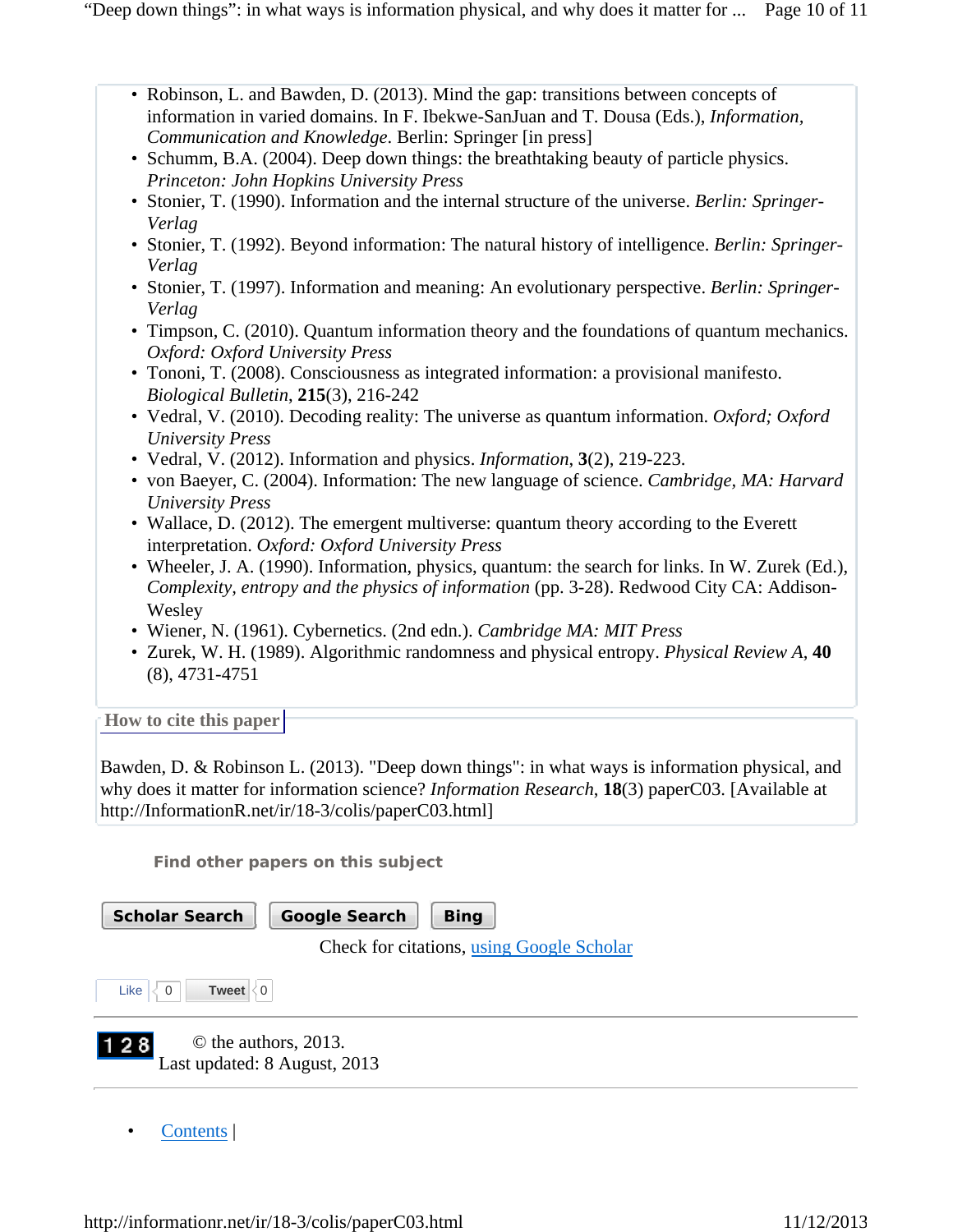- Robinson, L. and Bawden, D. (2013). Mind the gap: transitions between concepts of information in varied domains. In F. Ibekwe-SanJuan and T. Dousa (Eds.), *Information, Communication and Knowledge*. Berlin: Springer [in press]
- Schumm, B.A. (2004). Deep down things: the breathtaking beauty of particle physics. *Princeton: John Hopkins University Press*
- Stonier, T. (1990). Information and the internal structure of the universe. *Berlin: Springer-Verlag*
- Stonier, T. (1992). Beyond information: The natural history of intelligence. *Berlin: Springer-Verlag*
- Stonier, T. (1997). Information and meaning: An evolutionary perspective. *Berlin: Springer-Verlag*
- Timpson, C. (2010). Quantum information theory and the foundations of quantum mechanics. *Oxford: Oxford University Press*
- Tononi, T. (2008). Consciousness as integrated information: a provisional manifesto. *Biological Bulletin*, **215**(3), 216-242
- Vedral, V. (2010). Decoding reality: The universe as quantum information. *Oxford; Oxford University Press*
- Vedral, V. (2012). Information and physics. *Information*, **3**(2), 219-223.
- von Baeyer, C. (2004). Information: The new language of science. *Cambridge, MA: Harvard University Press*
- Wallace, D. (2012). The emergent multiverse: quantum theory according to the Everett interpretation. *Oxford: Oxford University Press*
- Wheeler, J. A. (1990). Information, physics, quantum: the search for links. In W. Zurek (Ed.), *Complexity, entropy and the physics of information* (pp. 3-28). Redwood City CA: Addison-**Wesley**
- Wiener, N. (1961). Cybernetics. (2nd edn.). *Cambridge MA: MIT Press*
- Zurek, W. H. (1989). Algorithmic randomness and physical entropy. *Physical Review A*, **40** (8), 4731-4751

**How to cite this paper** 

Bawden, D. & Robinson L. (2013). "Deep down things": in what ways is information physical, and why does it matter for information science? *Information Research*, **18**(3) paperC03. [Available at http://InformationR.net/ir/18-3/colis/paperC03.html]

**Find other papers on this subject**

| <b>Scholar Search</b><br><b>Google Search</b><br><b>Bing</b>  |
|---------------------------------------------------------------|
| Check for citations, using Google Scholar                     |
| Like<br>Tweet $\leq 0$<br>$\Omega$                            |
| © the authors, 2013.<br> 128 <br>Last updated: 8 August, 2013 |

• Contents |